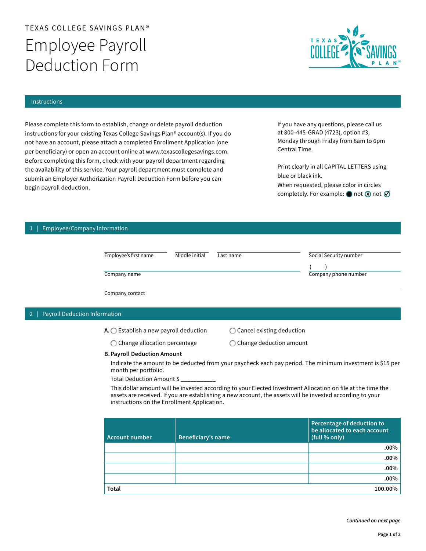# TEXAS COLLEGE SAVINGS PLAN® Employee Payroll Deduction Form



## Instructions

Please complete this form to establish, change or delete payroll deduction instructions for your existing Texas College Savings Plan® account(s). If you do not have an account, please attach a completed Enrollment Application (one per beneficiary) or open an account online at [www.texascollegesavings.com](http://www.texascollegesavings.com). Before completing this form, check with your payroll department regarding the availability of this service. Your payroll department must complete and submit an Employer Authorization Payroll Deduction Form before you can begin payroll deduction.

If you have any questions, please call us at 800-445-GRAD (4723), option #3, Monday through Friday from 8am to 6pm Central Time.

Print clearly in all CAPITAL LETTERS using blue or black ink. When requested, please color in circles completely. For example:  $\bigcirc$  not  $\emptyset$  not  $\emptyset$ 

# 1 | Employee/Company Information

| Employee's first name | Middle initial | Last name | Social Security number |
|-----------------------|----------------|-----------|------------------------|
| Company name          |                |           | Company phone number   |
| Company contact       |                |           |                        |

## 2 | Payroll Deduction Information

 $A.$  Establish a new payroll deduction  $\bigcirc$  Cancel existing deduction

 $\bigcirc$  Change allocation percentage  $\bigcirc$  Change deduction amount

B. Payroll Deduction Amount

Indicate the amount to be deducted from your paycheck each pay period. The minimum investment is \$15 per month per portfolio.

Total Deduction Amount \$ \_\_\_\_\_\_\_\_\_\_\_

This dollar amount will be invested according to your Elected Investment Allocation on file at the time the assets are received. If you are establishing a new account, the assets will be invested according to your instructions on the Enrollment Application.

| Account number | Beneficiary's name | Percentage of deduction to<br>be allocated to each account<br>(full % only) |
|----------------|--------------------|-----------------------------------------------------------------------------|
|                |                    | $.00\%$                                                                     |
|                |                    | $.00\%$                                                                     |
|                |                    | $.00\%$                                                                     |
|                |                    | $.00\%$                                                                     |
| <b>Total</b>   |                    | 100.00%                                                                     |